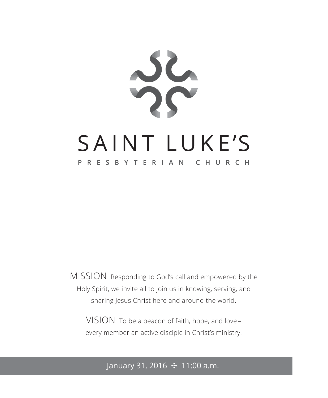

MISSION Responding to God's call and empowered by the Holy Spirit, we invite all to join us in knowing, serving, and sharing Jesus Christ here and around the world.

VISION To be a beacon of faith, hope, and love – every member an active disciple in Christ's ministry.

### January 31, 2016 ✣ 11:00 a.m.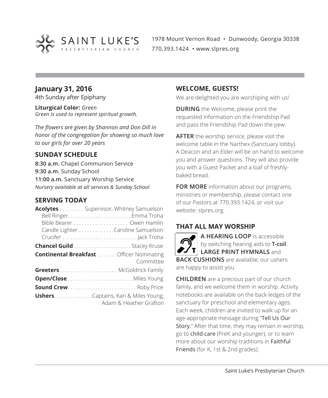

1978 Mount Vernon Road • Dunwoody, Georgia 30338 770.393.1424 • www.slpres.org

### **January 31, 2016**

4th Sunday after Epiphany

**Liturgical Color:** *Green Green is used to represent spiritual growth.* 

*The flowers are given by Shannon and Don Dill in honor of the congregation for showing so much love to our girls for over 20 years*

### **SUNDAY SCHEDULE**

**8:30 a.m.** Chapel Communion Service **9:30 a.m.** Sunday School **11:00 a.m.** Sanctuary Worship Service *Nursery available at all services & Sunday School*

### **SERVING TODAY**

| Acolytes Supervisor, Whitney Samuelson          |
|-------------------------------------------------|
|                                                 |
|                                                 |
| Candle Lighter Caroline Samuelson               |
|                                                 |
| <b>Chancel Guild</b> Stacey Kruse               |
| <b>Continental Breakfast</b> Officer Nominating |
| Committee                                       |
| <b>Greeters</b> McGoldrick Family               |
|                                                 |
| <b>Sound Crew Roby Price</b>                    |
| <b>Ushers.</b> Captains, Kari & Miles Young;    |
| Adam & Heather Grafton                          |

### **WELCOME, GUESTS!**

We are delighted you are worshiping with us!

**DURING** the Welcome, please print the requested information on the Friendship Pad and pass the Friendship Pad down the pew.

**AFTER** the worship service, please visit the welcome table in the Narthex (Sanctuary lobby). A Deacon and an Elder will be on hand to welcome you and answer questions. They will also provide you with a Guest Packet and a loaf of freshlybaked bread.

**FOR MORE** information about our programs, ministries or membership, please contact one of our Pastors at 770.393.1424, or visit our website: slpres.org.

### **THAT ALL MAY WORSHIP**

**A HEARING LOOP** is accessible by switching hearing aids to **T-coil**. **LARGE PRINT HYMNALS** and **BACK CUSHIONS** are available; our ushers are happy to assist you.

**CHILDREN** are a precious part of our church family, and we welcome them in worship. Activity notebooks are available on the back ledges of the sanctuary for preschool and elementary ages. Each week, children are invited to walk up for an age-appropriate message during "Tell Us Our Story." After that time, they may remain in worship, go to child care (PreK and younger), or to learn more about our worship traditions in Faithful Friends (for K, 1st & 2nd grades).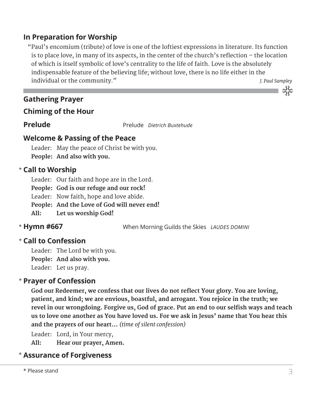### **In Preparation for Worship**

 "Paul's encomium (tribute) of love is one of the loftiest expressions in literature. Its function is to place love, in many of its aspects, in the center of the church's reflection – the location of which is itself symbolic of love's centrality to the life of faith. Love is the absolutely indispensable feature of the believing life; without love, there is no life either in the individual or the community." *J. Paul Sampley*

### **Gathering Prayer**

### **Chiming of the Hour**

**Prelude** Prelude *Dietrich Buxtehude*

### **Welcome & Passing of the Peace**

Leader: May the peace of Christ be with you. **People: And also with you.**

### **Call to Worship** \*

Leader: Our faith and hope are in the Lord.

**People: God is our refuge and our rock!**

Leader: Now faith, hope and love abide.

**People: And the Love of God will never end!**

**All: Let us worship God!**

### \* Hymn #667

**Hymn #667** When Morning Guilds the Skies *LAUDES DOMINI*

### **Call to Confession**  \*

Leader: The Lord be with you. **People: And also with you.**

Leader: Let us pray.

### **Prayer of Confession**  \*

**God our Redeemer, we confess that our lives do not reflect Your glory. You are loving, patient, and kind; we are envious, boastful, and arrogant. You rejoice in the truth; we revel in our wrongdoing. Forgive us, God of grace. Put an end to our selfish ways and teach** us to love one another as You have loved us. For we ask in Jesus' name that You hear this **and the prayers of our heart…** *(time of silent confession)*

Leader: Lord, in Your mercy, **All: Hear our prayer, Amen.**

### **Assurance of Forgiveness** \*

သိုင်း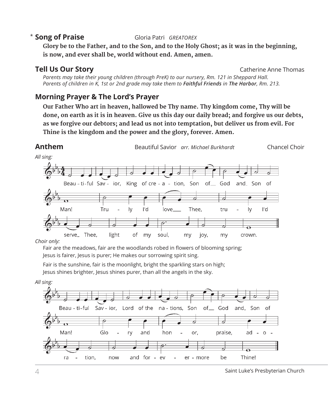### \* Song of Praise

**Song of Praise** Gloria Patri *GREATOREX*

 **Glory be to the Father, and to the Son, and to the Holy Ghost; as it was in the beginning, is now, and ever shall be, world without end. Amen, amen.**

**Tell Us Our Story Catherine Anne Thomas** 

*Parents may take their young children (through PreK) to our nursery, Rm. 121 in Sheppard Hall. Parents of children in K, 1st or 2nd grade may take them to Faithful Friends in The Harbor, Rm. 213.*

### **Morning Prayer & The Lord's Prayer**

 **Our Father Who art in heaven, hallowed be Thy name. Thy kingdom come, Thy will be done, on earth as it is in heaven. Give us this day our daily bread; and forgive us our debts, as we forgive our debtors; and lead us not into temptation, but deliver us from evil. For Thine is the kingdom and the power and the glory, forever. Amen.**



*Choir only:*

Fair are the meadows, fair are the woodlands robed in flowers of blooming spring; Jesus is fairer, Jesus is purer; He makes our sorrowing spirit sing.

Fair is the sunshine, fair is the moonlight, bright the sparkling stars on high;

Jesus shines brighter, Jesus shines purer, than all the angels in the sky.

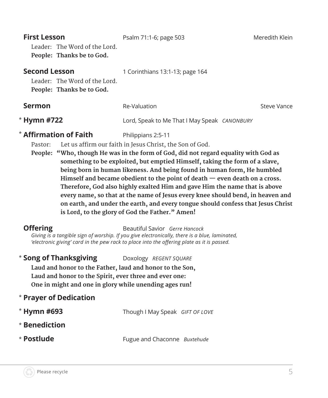| <b>First Lesson</b><br>Leader: The Word of the Lord.<br>People: Thanks be to God.  | Psalm 71:1-6; page 503                                                                                                                                                                                                                                                                                                                                                                                                                                                                                                                                                                                                                                            | Meredith Klein |
|------------------------------------------------------------------------------------|-------------------------------------------------------------------------------------------------------------------------------------------------------------------------------------------------------------------------------------------------------------------------------------------------------------------------------------------------------------------------------------------------------------------------------------------------------------------------------------------------------------------------------------------------------------------------------------------------------------------------------------------------------------------|----------------|
| <b>Second Lesson</b><br>Leader: The Word of the Lord.<br>People: Thanks be to God. | 1 Corinthians 13:1-13; page 164                                                                                                                                                                                                                                                                                                                                                                                                                                                                                                                                                                                                                                   |                |
| Sermon                                                                             | Re-Valuation                                                                                                                                                                                                                                                                                                                                                                                                                                                                                                                                                                                                                                                      | Steve Vance    |
| * Hymn #722                                                                        | Lord, Speak to Me That I May Speak CANONBURY                                                                                                                                                                                                                                                                                                                                                                                                                                                                                                                                                                                                                      |                |
| $*$ Affirmation of Faith<br>Pastor:                                                | Philippians 2:5-11<br>Let us affirm our faith in Jesus Christ, the Son of God.<br>People: "Who, though He was in the form of God, did not regard equality with God as<br>something to be exploited, but emptied Himself, taking the form of a slave,<br>being born in human likeness. And being found in human form, He humbled<br>Himself and became obedient to the point of death — even death on a cross.<br>Therefore, God also highly exalted Him and gave Him the name that is above<br>every name, so that at the name of Jesus every knee should bend, in heaven and<br>on earth, and under the earth, and every tongue should confess that Jesus Christ |                |

**is Lord, to the glory of God the Father." Amen!**

**Offering** Beautiful Savior *Gerre Hancock Giving is a tangible sign of worship. If you give electronically, there is a blue, laminated, 'electronic giving' card in the pew rack to place into the offering plate as it is passed.* 

\* **Song of Thanksgiving** Doxology *REGENT SQUARE*

 **Laud and honor to the Father, laud and honor to the Son, Laud and honor to the Spirit, ever three and ever one: One in might and one in glory while unending ages run!**

### \* **Prayer of Dedication**

| $*$ Hymn #693 | Though I May Speak GIFT OF LOVE |  |
|---------------|---------------------------------|--|
| * Benediction |                                 |  |
| * Postlude    | Fugue and Chaconne Buxtehude    |  |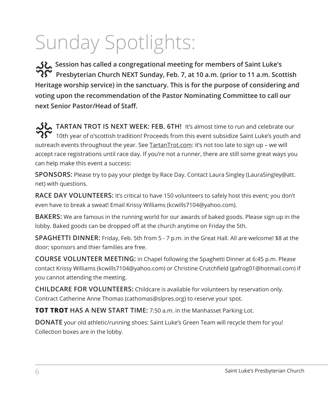# Sunday Spotlights:

**محلی** Session has called a congregational meeting for members of Saint Luke's<br>مح **Presbyterian Church NEXT Sunday, Feb. 7, at 10 a.m. (prior to 11 a.m. Scottish Heritage worship service) in the sanctuary. This is for the purpose of considering and voting upon the recommendation of the Pastor Nominating Committee to call our next Senior Pastor/Head of Staff.**

**JU** TARTAN TROT IS NEXT WEEK: FEB. 6TH! It's almost time to run and celebrate our  $\boldsymbol{R}$  10th year of o'scottish tradition! Proceeds from this event subsidize Saint Luke's youth and outreach events throughout the year. See **TartanTrot.com**: it's not too late to sign up – we will accept race registrations until race day. If you're not a runner, there are still some great ways you can help make this event a success:

**SPONSORS:** Please try to pay your pledge by Race Day. Contact Laura Singley (LauraSingley@att. net) with questions.

**RACE DAY VOLUNTEERS:** It's critical to have 150 volunteers to safely host this event; you don't even have to break a sweat! Email Krissy Williams (kcwills7104@yahoo.com).

**BAKERS:** We are famous in the running world for our awards of baked goods. Please sign up in the lobby. Baked goods can be dropped off at the church anytime on Friday the 5th.

**SPAGHETTI DINNER:** Friday, Feb. 5th from 5 - 7 p.m. in the Great Hall. All are welcome! \$8 at the door; sponsors and thier families are free.

**COURSE VOLUNTEER MEETING:** in Chapel following the Spaghetti Dinner at 6:45 p.m. Please contact Krissy Williams (kcwills7104@yahoo.com) or Christine Crutchfield (gafrog01@hotmail.com) if you cannot attending the meeting.

**CHILDCARE FOR VOLUNTEERS:** Childcare is available for volunteers by reservation only. Contract Catherine Anne Thomas (cathomas@slpres.org) to reserve your spot.

**TOT TROT HAS A NEW START TIME:** 7:50 a.m. in the Manhasset Parking Lot.

**DONATE** your old athletic/running shoes: Saint Luke's Green Team will recycle them for you! Collection boxes are in the lobby.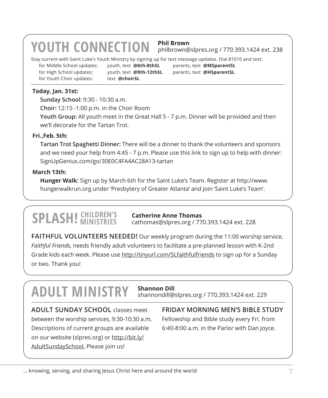### **YOUTH CONNECTION Phil Brown**

philbrown@slpres.org / 770.393.1424 ext. 238

Stay current with Saint Luke's Youth Ministry by signing up for text message updates. Dial 81010 and text:

for High School updates: youth, text **@9th-12thSL** parents, text **@HSparentSL** for Youth Choir updates: text **@choirSL** 

for Middle School updates: youth, text **@6th-8thSL** parents, text **@MSparentSL**

### **Today, Jan. 31st:**

**Sunday School:** 9:30 - 10:30 a.m. **Choir:** 12:15 -1:00 p.m. in the Choir Room **Youth Group:** All youth meet in the Great Hall 5 - 7 p.m. Dinner will be provided and then we'll decorate for the Tartan Trot.

### **Fri.,Feb. 5th:**

 **Tartan Trot Spaghetti Dinner:** There will be a dinner to thank the volunteers and sponsors and we need your help from 4:45 - 7 p.m. Please use this link to sign up to help with dinner: SignUpGenius.com/go/30E0C4FA4AC28A13-tartan

### **March 13th:**

 **Hunger Walk:** Sign up by March 6th for the Saint Luke's Team. Register at http://www. hungerwalkrun.org under 'Presbytery of Greater Atlanta' and join 'Saint Luke's Team'.

## **SPLASH! CHILDREN'S**

**Catherine Anne Thomas** cathomas@slpres.org / 770.393.1424 ext. 228

**FAITHFUL VOLUNTEERS NEEDED!** Our weekly program during the 11:00 worship service, *Faithful Friends*, needs friendly adult volunteers to facilitate a pre-planned lesson with K-2nd Grade kids each week. Please use http://tinyurl.com/SLfaithfulfriends to sign up for a Sunday or two. Thank you!

### **ADULT MINISTRY Shannon Dill**

### shannondill@slpres.org / 770.393.1424 ext. 229

**ADULT SUNDAY SCHOOL** classes meet between the worship services, 9:30-10:30 a.m. Descriptions of current groups are available on our website (slpres.org) or http://bit.ly/ AdultSundaySchool. Please join us!

**FRIDAY MORNING MEN'S BIBLE STUDY**  Fellowship and Bible study every Fri. from 6:40-8:00 a.m. in the Parlor with Dan Joyce.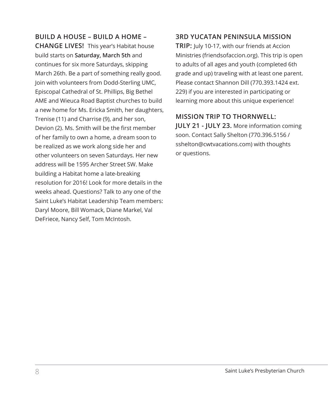**BUILD A HOUSE – BUILD A HOME – CHANGE LIVES!** This year's Habitat house build starts on **Saturday, March 5th** and continues for six more Saturdays, skipping March 26th. Be a part of something really good. Join with volunteers from Dodd-Sterling UMC, Episcopal Cathedral of St. Phillips, Big Bethel AME and Wieuca Road Baptist churches to build a new home for Ms. Ericka Smith, her daughters, Trenise (11) and Charrise (9), and her son, Devion (2). Ms. Smith will be the first member of her family to own a home, a dream soon to be realized as we work along side her and other volunteers on seven Saturdays. Her new address will be 1595 Archer Street SW. Make building a Habitat home a late-breaking resolution for 2016! Look for more details in the weeks ahead. Questions? Talk to any one of the Saint Luke's Habitat Leadership Team members: Daryl Moore, Bill Womack, Diane Markel, Val DeFriece, Nancy Self, Tom McIntosh.

### **3RD YUCATAN PENINSULA MISSION**

**TRIP:** July 10-17, with our friends at Accion Ministries (friendsofaccion.org). This trip is open to adults of all ages and youth (completed 6th grade and up) traveling with at least one parent. Please contact Shannon Dill (770.393.1424 ext. 229) if you are interested in participating or learning more about this unique experience!

### **MISSION TRIP TO THORNWELL:**

**JULY 21 - JULY 23.** More information coming soon. Contact Sally Shelton (770.396.5156 / sshelton@cwtvacations.com) with thoughts or questions.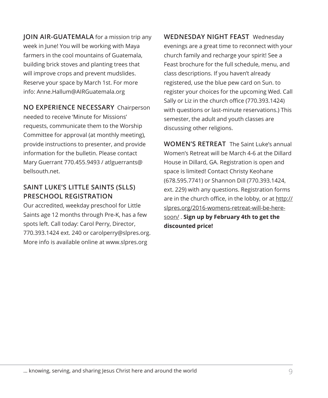**JOIN AIR-GUATEMALA** for a mission trip any week in June! You will be working with Maya farmers in the cool mountains of Guatemala, building brick stoves and planting trees that will improve crops and prevent mudslides. Reserve your space by March 1st. For more info: Anne.Hallum@AIRGuatemala.org

**NO EXPERIENCE NECESSARY** Chairperson needed to receive 'Minute for Missions' requests, communicate them to the Worship Committee for approval (at monthly meeting), provide instructions to presenter, and provide information for the bulletin. Please contact Mary Guerrant 770.455.9493 / atlguerrants@ bellsouth.net.

### **SAINT LUKE'S LITTLE SAINTS (SLLS) PRESCHOOL REGISTRATION**

Our accredited, weekday preschool for Little Saints age 12 months through Pre-K, has a few spots left. Call today: Carol Perry, Director, 770.393.1424 ext. 240 or carolperry@slpres.org. More info is available online at www.slpres.org

**WEDNESDAY NIGHT FEAST** Wednesday evenings are a great time to reconnect with your church family and recharge your spirit! See a Feast brochure for the full schedule, menu, and class descriptions. If you haven't already registered, use the blue pew card on Sun. to register your choices for the upcoming Wed. Call Sally or Liz in the church office (770.393.1424) with questions or last-minute reservations.) This semester, the adult and youth classes are discussing other religions.

**WOMEN'S RETREAT** The Saint Luke's annual Women's Retreat will be March 4-6 at the Dillard House in Dillard, GA. Registration is open and space is limited! Contact Christy Keohane (678.595.7741) or Shannon Dill (770.393.1424, ext. 229) with any questions. Registration forms are in the church office, in the lobby, or at http:// slpres.org/2016-womens-retreat-will-be-heresoon/ . **Sign up by February 4th to get the discounted price!**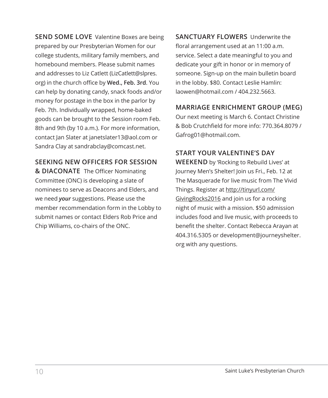**SEND SOME LOVE** Valentine Boxes are being prepared by our Presbyterian Women for our college students, military family members, and homebound members. Please submit names and addresses to Liz Catlett (LizCatlett@slpres. org) in the church office by **Wed., Feb. 3rd**. You can help by donating candy, snack foods and/or money for postage in the box in the parlor by Feb. 7th. Individually wrapped, home-baked goods can be brought to the Session room Feb. 8th and 9th (by 10 a.m.). For more information, contact Jan Slater at janetslater13@aol.com or Sandra Clay at sandrabclay@comcast.net.

### **SEEKING NEW OFFICERS FOR SESSION**

**& DIACONATE** The Officer Nominating Committee (ONC) is developing a slate of nominees to serve as Deacons and Elders, and we need *your* suggestions. Please use the member recommendation form in the Lobby to submit names or contact Elders Rob Price and Chip Williams, co-chairs of the ONC.

**SANCTUARY FLOWERS** Underwrite the floral arrangement used at an 11:00 a.m. service. Select a date meaningful to you and dedicate your gift in honor or in memory of someone. Sign-up on the main bulletin board in the lobby. \$80. Contact Leslie Hamlin: laowen@hotmail.com / 404.232.5663.

### **MARRIAGE ENRICHMENT GROUP (MEG)**

Our next meeting is March 6. Contact Christine & Bob Crutchfield for more info: 770.364.8079 / Gafrog01@hotmail.com.

### **START YOUR VALENTINE'S DAY**

**WEEKEND** by 'Rocking to Rebuild Lives' at Journey Men's Shelter! Join us Fri., Feb. 12 at The Masquerade for live music from The Vivid Things. Register at http://tinyurl.com/ GivingRocks2016 and join us for a rocking night of music with a mission. \$50 admission includes food and live music, with proceeds to benefit the shelter. Contact Rebecca Arayan at 404.316.5305 or development@journeyshelter. org with any questions.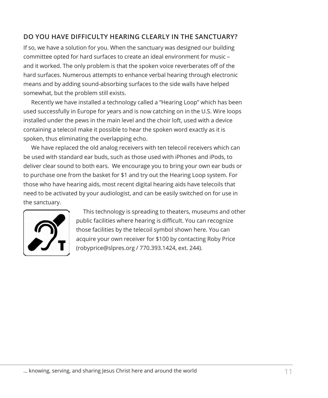### **DO YOU HAVE DIFFICULTY HEARING CLEARLY IN THE SANCTUARY?**

If so, we have a solution for you. When the sanctuary was designed our building committee opted for hard surfaces to create an ideal environment for music – and it worked. The only problem is that the spoken voice reverberates off of the hard surfaces. Numerous attempts to enhance verbal hearing through electronic means and by adding sound-absorbing surfaces to the side walls have helped somewhat, but the problem still exists.

Recently we have installed a technology called a "Hearing Loop" which has been used successfully in Europe for years and is now catching on in the U.S. Wire loops installed under the pews in the main level and the choir loft, used with a device containing a telecoil make it possible to hear the spoken word exactly as it is spoken, thus eliminating the overlapping echo.

We have replaced the old analog receivers with ten telecoil receivers which can be used with standard ear buds, such as those used with iPhones and iPods, to deliver clear sound to both ears. We encourage you to bring your own ear buds or to purchase one from the basket for \$1 and try out the Hearing Loop system. For those who have hearing aids, most recent digital hearing aids have telecoils that need to be activated by your audiologist, and can be easily switched on for use in the sanctuary.



 This technology is spreading to theaters, museums and other public facilities where hearing is difficult. You can recognize those facilities by the telecoil symbol shown here. You can acquire your own receiver for \$100 by contacting Roby Price (robyprice@slpres.org / 770.393.1424, ext. 244).